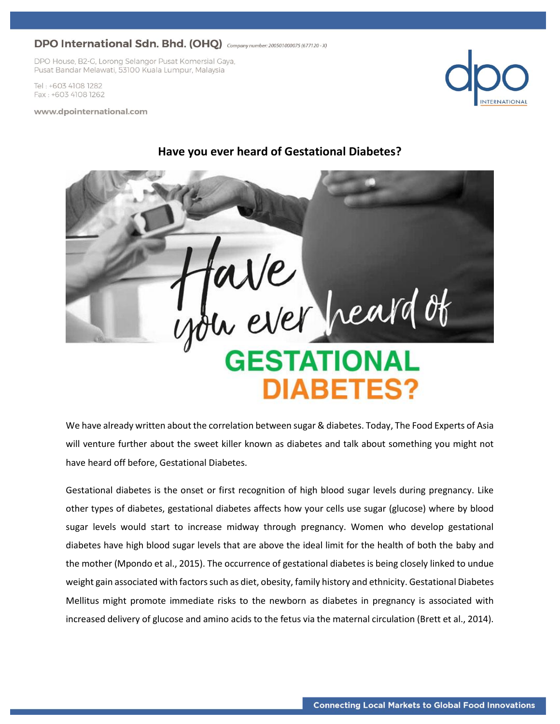DPO House, B2-G, Lorong Selangor Pusat Komersial Gaya, Pusat Bandar Melawati, 53100 Kuala Lumpur, Malaysia

Tel: +603 4108 1282 Fax: +603 4108 1262

www.dpointernational.com





We have already written about the correlation between sugar & diabetes. Today, The Food Experts of Asia will venture further about the sweet killer known as diabetes and talk about something you might not have heard off before, Gestational Diabetes.

Gestational diabetes is the onset or first recognition of high blood sugar levels during pregnancy. Like other types of diabetes, gestational diabetes affects how your cells use sugar (glucose) where by blood sugar levels would start to increase midway through pregnancy. Women who develop gestational diabetes have high blood sugar levels that are above the ideal limit for the health of both the baby and the mother (Mpondo et al., 2015). The occurrence of gestational diabetes is being closely linked to undue weight gain associated with factors such as diet, obesity, family history and ethnicity. Gestational Diabetes Mellitus might promote immediate risks to the newborn as diabetes in pregnancy is associated with increased delivery of glucose and amino acids to the fetus via the maternal circulation (Brett et al., 2014).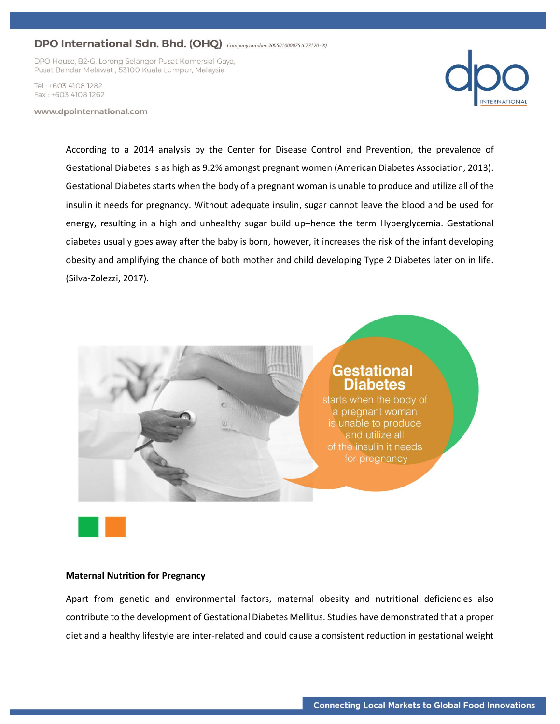DPO House, B2-G, Lorong Selangor Pusat Komersial Gaya, Pusat Bandar Melawati, 53100 Kuala Lumpur, Malaysia

Tel: +603 4108 1282 Fax: +603 4108 1262

www.dpointernational.com



According to a 2014 analysis by the Center for Disease Control and Prevention, the prevalence of Gestational Diabetes is as high as 9.2% amongst pregnant women (American Diabetes Association, 2013). Gestational Diabetes starts when the body of a pregnant woman is unable to produce and utilize all of the insulin it needs for pregnancy. Without adequate insulin, sugar cannot leave the blood and be used for energy, resulting in a high and unhealthy sugar build up–hence the term Hyperglycemia. Gestational diabetes usually goes away after the baby is born, however, it increases the risk of the infant developing obesity and amplifying the chance of both mother and child developing Type 2 Diabetes later on in life. (Silva-Zolezzi, 2017).



### **Maternal Nutrition for Pregnancy**

Apart from genetic and environmental factors, maternal obesity and nutritional deficiencies also contribute to the development of Gestational Diabetes Mellitus. Studies have demonstrated that a proper diet and a healthy lifestyle are inter-related and could cause a consistent reduction in gestational weight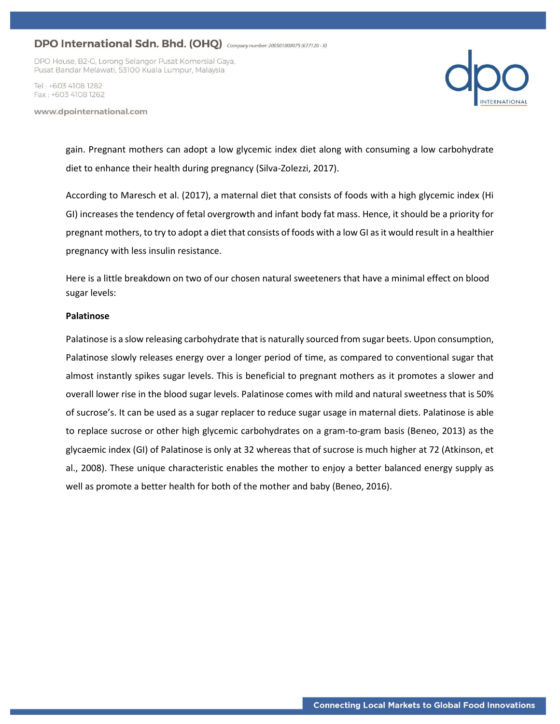DPO House, B2-G, Lorong Selangor Pusat Komersial Gaya, Pusat Bandar Melawati, 53100 Kuala Lumpur, Malaysia

Tel · +603 4108 1282 Fax: +603 4108 1262

www.dpointernational.com



gain. Pregnant mothers can adopt a low glycemic index diet along with consuming a low carbohydrate diet to enhance their health during pregnancy (Silva-Zolezzi, 2017).

According to Maresch et al. (2017), a maternal diet that consists of foods with a high glycemic index (Hi GI) increases the tendency of fetal overgrowth and infant body fat mass. Hence, it should be a priority for pregnant mothers, to try to adopt a diet that consists of foods with a low GI as it would result in a healthier pregnancy with less insulin resistance.

Here is a little breakdown on two of our chosen natural sweeteners that have a minimal effect on blood sugar levels:

#### **Palatinose**

Palatinose is a slow releasing carbohydrate that is naturally sourced from sugar beets. Upon consumption, Palatinose slowly releases energy over a longer period of time, as compared to conventional sugar that almost instantly spikes sugar levels. This is beneficial to pregnant mothers as it promotes a slower and overall lower rise in the blood sugar levels. Palatinose comes with mild and natural sweetness that is 50% of sucrose's. It can be used as a sugar replacer to reduce sugar usage in maternal diets. Palatinose is able to replace sucrose or other high glycemic carbohydrates on a gram-to-gram basis (Beneo, 2013) as the glycaemic index (GI) of Palatinose is only at 32 whereas that of sucrose is much higher at 72 (Atkinson, et al., 2008). These unique characteristic enables the mother to enjoy a better balanced energy supply as well as promote a better health for both of the mother and baby (Beneo, 2016).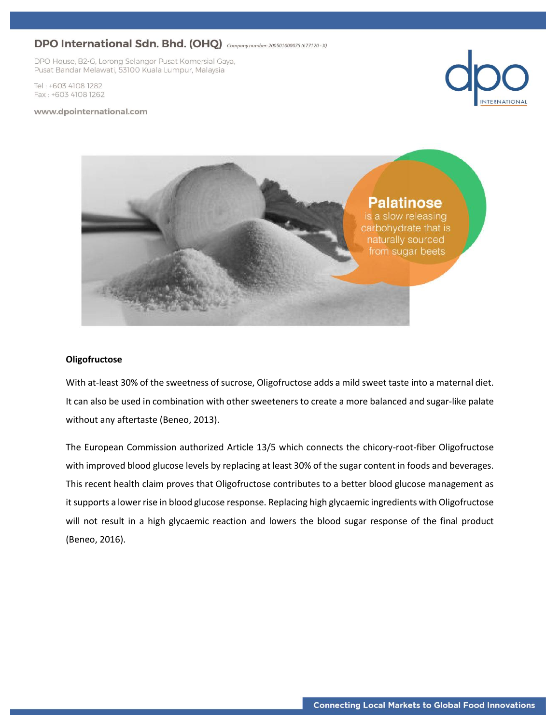DPO House, B2-G, Lorong Selangor Pusat Komersial Gaya, Pusat Bandar Melawati, 53100 Kuala Lumpur, Malaysia

Tel: +603 4108 1282 Fax: +603 4108 1262







### **Oligofructose**

With at-least 30% of the sweetness of sucrose, Oligofructose adds a mild sweet taste into a maternal diet. It can also be used in combination with other sweeteners to create a more balanced and sugar-like palate without any aftertaste (Beneo, 2013).

The European Commission authorized Article 13/5 which connects the chicory-root-fiber Oligofructose with improved blood glucose levels by replacing at least 30% of the sugar content in foods and beverages. This recent health claim proves that Oligofructose contributes to a better blood glucose management as it supports a lower rise in blood glucose response. Replacing high glycaemic ingredients with Oligofructose will not result in a high glycaemic reaction and lowers the blood sugar response of the final product (Beneo, 2016).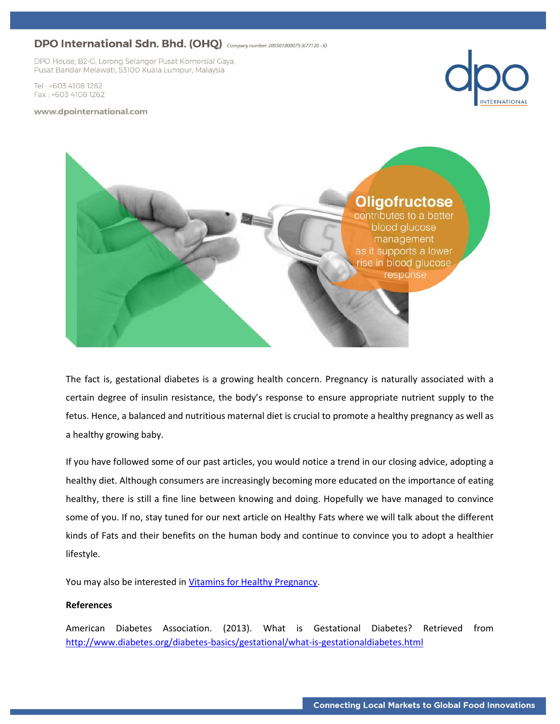DPO House, B2-G, Lorong Selangor Pusat Komersial Gaya, Pusat Bandar Melawati, 53100 Kuala Lumpur, Malaysia

Tel: +603 4108 1282 Fax: +603 4108 1262

#### www.dpointernational.com





The fact is, gestational diabetes is a growing health concern. Pregnancy is naturally associated with a certain degree of insulin resistance, the body's response to ensure appropriate nutrient supply to the fetus. Hence, a balanced and nutritious maternal diet is crucial to promote a healthy pregnancy as well as a healthy growing baby.

If you have followed some of our past articles, you would notice a trend in our closing advice, adopting a healthy diet. Although consumers are increasingly becoming more educated on the importance of eating healthy, there is still a fine line between knowing and doing. Hopefully we have managed to convince some of you. If no, stay tuned for our next article on Healthy Fats where we will talk about the different kinds of Fats and their benefits on the human body and continue to convince you to adopt a healthier lifestyle.

You may also be interested in [Vitamins for Healthy Pregnancy.](http://dpointernational.com/vitamins-for-healthy-pregnancy/)

### **References**

American Diabetes Association. (2013). What is Gestational Diabetes? Retrieved from <http://www.diabetes.org/diabetes-basics/gestational/what-is-gestationaldiabetes.html>